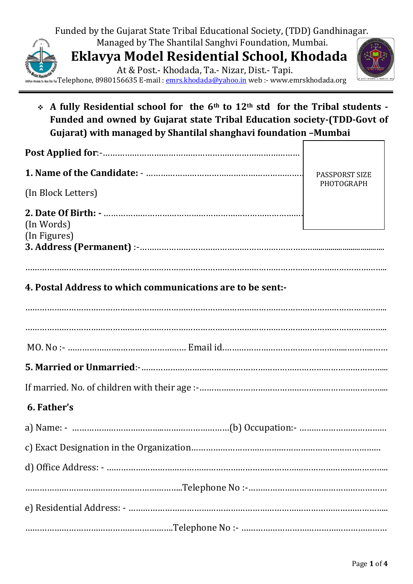

❖ **A fully Residential school for the 6th to 12th std for the Tribal students - Funded and owned by Gujarat state Tribal Education society-(TDD-Govt of Gujarat) with managed by Shantilal shanghavi foundation –Mumbai** 

|                                                            | PASSPORST SIZE |
|------------------------------------------------------------|----------------|
| (In Block Letters)                                         | PHOTOGRAPH     |
| (In Words)<br>(In Figures)                                 |                |
| 4. Postal Address to which communications are to be sent:- |                |
|                                                            |                |
|                                                            |                |
|                                                            |                |
| 6. Father's                                                |                |
|                                                            |                |
|                                                            |                |
|                                                            |                |
|                                                            |                |
|                                                            |                |
|                                                            |                |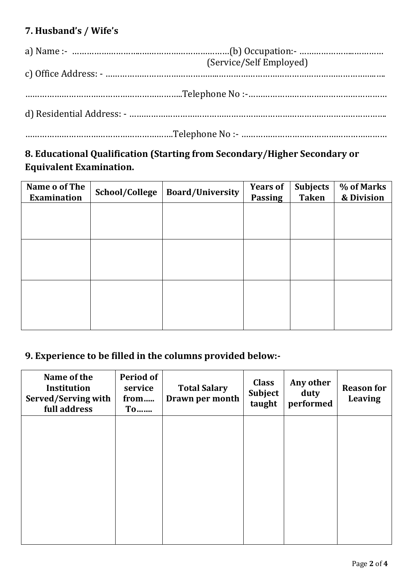# **7. Husband's / Wife's**

|  | (Service/Self Employed) |  |  |  |
|--|-------------------------|--|--|--|
|  |                         |  |  |  |
|  |                         |  |  |  |
|  |                         |  |  |  |
|  |                         |  |  |  |
|  |                         |  |  |  |
|  |                         |  |  |  |

## **8. Educational Qualification (Starting from Secondary/Higher Secondary or Equivalent Examination.**

| Name o of The<br><b>Examination</b> | School/College | <b>Board/University</b> | <b>Years of</b><br><b>Passing</b> | <b>Subjects</b><br><b>Taken</b> | % of Marks<br>& Division |
|-------------------------------------|----------------|-------------------------|-----------------------------------|---------------------------------|--------------------------|
|                                     |                |                         |                                   |                                 |                          |
|                                     |                |                         |                                   |                                 |                          |
|                                     |                |                         |                                   |                                 |                          |
|                                     |                |                         |                                   |                                 |                          |
|                                     |                |                         |                                   |                                 |                          |
|                                     |                |                         |                                   |                                 |                          |
|                                     |                |                         |                                   |                                 |                          |

# **9. Experience to be filled in the columns provided below:-**

| Name of the<br><b>Institution</b><br>Served/Serving with<br>full address | <b>Period of</b><br>service<br>from<br>$T$ 0 | <b>Total Salary</b><br>Drawn per month | <b>Class</b><br><b>Subject</b><br>taught | Any other<br>duty<br>performed | <b>Reason for</b><br><b>Leaving</b> |
|--------------------------------------------------------------------------|----------------------------------------------|----------------------------------------|------------------------------------------|--------------------------------|-------------------------------------|
|                                                                          |                                              |                                        |                                          |                                |                                     |
|                                                                          |                                              |                                        |                                          |                                |                                     |
|                                                                          |                                              |                                        |                                          |                                |                                     |
|                                                                          |                                              |                                        |                                          |                                |                                     |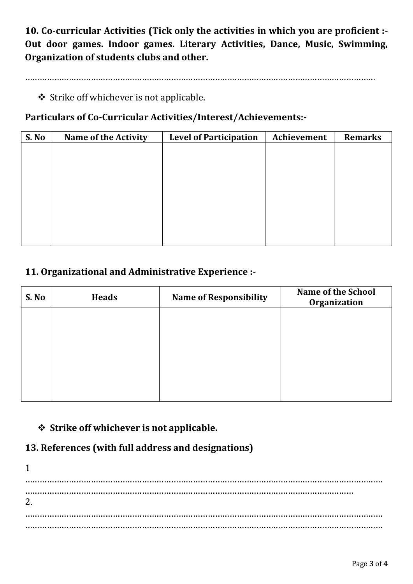**10. Co-curricular Activities (Tick only the activities in which you are proficient :- Out door games. Indoor games. Literary Activities, Dance, Music, Swimming, Organization of students clubs and other.**

………………………………………………………………………………………………………………………………

❖ Strike off whichever is not applicable.

#### **Particulars of Co-Curricular Activities/Interest/Achievements:-**

| S. No | <b>Name of the Activity</b> | <b>Level of Participation</b> | Achievement | <b>Remarks</b> |
|-------|-----------------------------|-------------------------------|-------------|----------------|
|       |                             |                               |             |                |
|       |                             |                               |             |                |
|       |                             |                               |             |                |
|       |                             |                               |             |                |
|       |                             |                               |             |                |
|       |                             |                               |             |                |
|       |                             |                               |             |                |
|       |                             |                               |             |                |
|       |                             |                               |             |                |

## **11. Organizational and Administrative Experience :-**

| S. No | <b>Heads</b> | <b>Name of Responsibility</b> | <b>Name of the School</b><br>Organization |
|-------|--------------|-------------------------------|-------------------------------------------|
|       |              |                               |                                           |
|       |              |                               |                                           |
|       |              |                               |                                           |
|       |              |                               |                                           |
|       |              |                               |                                           |

## ❖ **Strike off whichever is not applicable.**

## **13. References (with full address and designations)**

1 ………………………………………………………………………………………………………………………………… ……………………………………………………………………………………………………………………… 2. ………………………………………………………………………………………………………………………………… …………………………………………………………………………………………………………………………………